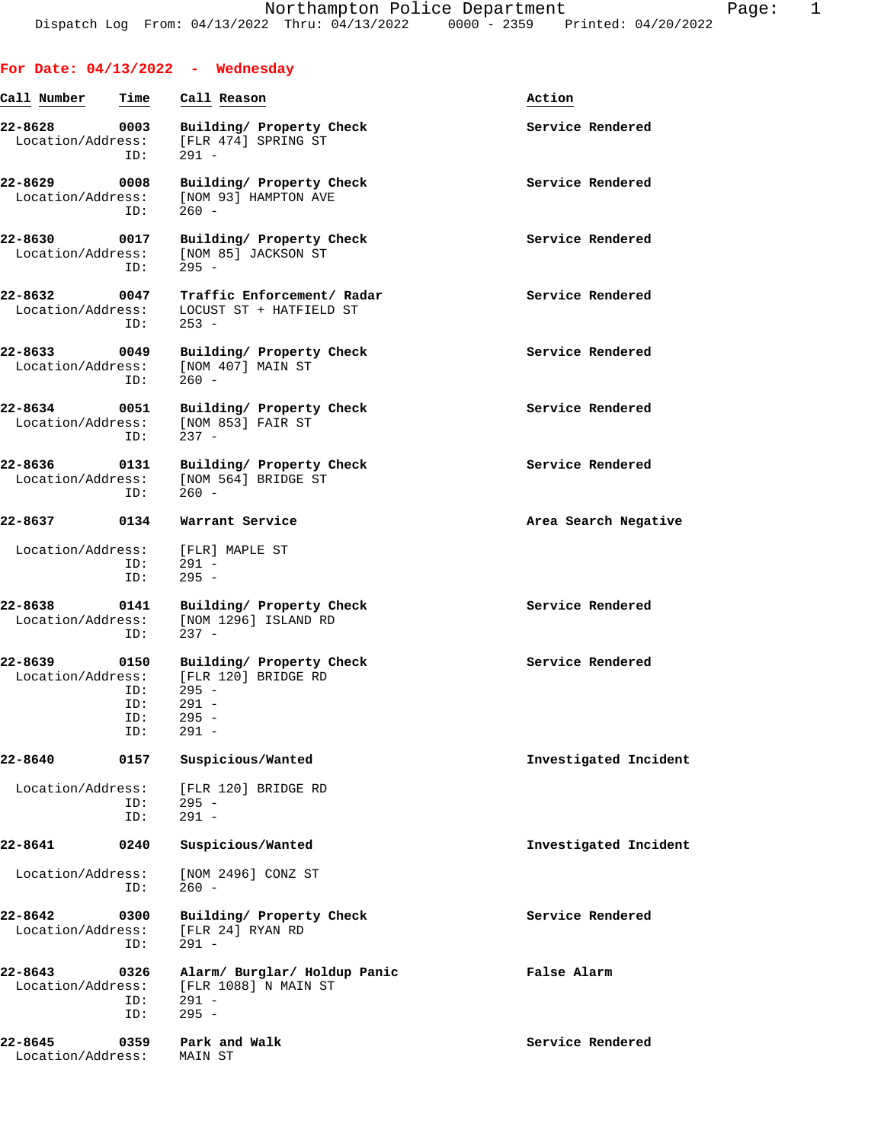|                              |                                  | For Date: $04/13/2022 -$ Wednesday                                                       |                       |
|------------------------------|----------------------------------|------------------------------------------------------------------------------------------|-----------------------|
| Call Number                  | Time                             | Call Reason                                                                              | Action                |
| 22-8628<br>Location/Address: | 0003<br>ID:                      | Building/ Property Check<br>[FLR 474] SPRING ST<br>$291 -$                               | Service Rendered      |
| 22-8629<br>Location/Address: | 0008<br>ID:                      | Building/ Property Check<br>[NOM 93] HAMPTON AVE<br>$260 -$                              | Service Rendered      |
| 22-8630<br>Location/Address: | 0017<br>ID:                      | Building/ Property Check<br>[NOM 85] JACKSON ST<br>$295 -$                               | Service Rendered      |
| 22-8632<br>Location/Address: | 0047<br>ID:                      | Traffic Enforcement/ Radar<br>LOCUST ST + HATFIELD ST<br>$253 -$                         | Service Rendered      |
| 22-8633<br>Location/Address: | 0049<br>ID:                      | Building/ Property Check<br>[NOM 407] MAIN ST<br>$260 -$                                 | Service Rendered      |
| 22-8634<br>Location/Address: | 0051<br>ID:                      | Building/ Property Check<br>[NOM 853] FAIR ST<br>$237 -$                                 | Service Rendered      |
| 22-8636<br>Location/Address: | 0131<br>ID:                      | Building/ Property Check<br>[NOM 564] BRIDGE ST<br>$260 -$                               | Service Rendered      |
| 22-8637                      | 0134                             | Warrant Service                                                                          | Area Search Negative  |
| Location/Address:            | ID:<br>ID:                       | [FLR] MAPLE ST<br>$291 -$<br>$295 -$                                                     |                       |
| 22-8638<br>Location/Address: | 0141<br>ID:                      | Building/ Property Check<br>[NOM 1296] ISLAND RD<br>$237 -$                              | Service Rendered      |
| 22-8639<br>Location/Address: | 0150<br>ID:<br>ID:<br>ID:<br>ID: | Building/ Property Check<br>FLR 1201 BRIDGE RD<br>$295 -$<br>291 -<br>$295 -$<br>$291 -$ | Service Rendered      |
| 22-8640                      | 0157                             | Suspicious/Wanted                                                                        | Investigated Incident |
| Location/Address:            | ID:<br>ID:                       | [FLR 120] BRIDGE RD<br>$295 -$<br>$291 -$                                                |                       |
| 22-8641                      | 0240                             | Suspicious/Wanted                                                                        | Investigated Incident |
| Location/Address:            | ID:                              | [NOM 2496] CONZ ST<br>$260 -$                                                            |                       |
| 22-8642<br>Location/Address: | 0300<br>ID:                      | Building/ Property Check<br>[FLR 24] RYAN RD<br>$291 -$                                  | Service Rendered      |
| 22-8643<br>Location/Address: | 0326<br>ID:<br>ID:               | Alarm/ Burglar/ Holdup Panic<br>[FLR 1088] N MAIN ST<br>$291 -$<br>$295 -$               | False Alarm           |
| 22-8645<br>Location/Address: | 0359                             | Park and Walk<br>MAIN ST                                                                 | Service Rendered      |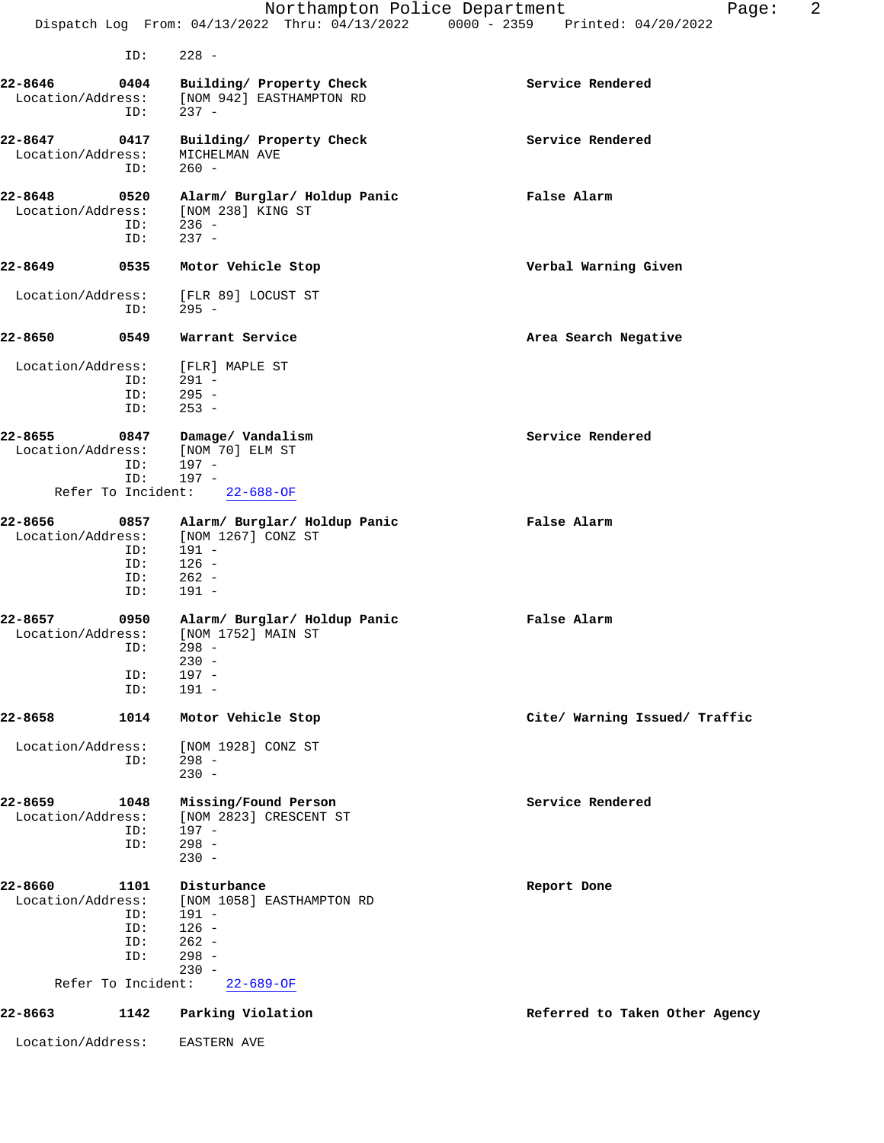|                              |                                                        | Northampton Police Department<br>Dispatch Log From: 04/13/2022 Thru: 04/13/2022 0000 - 2359 Printed: 04/20/2022    | 2<br>Page:                     |
|------------------------------|--------------------------------------------------------|--------------------------------------------------------------------------------------------------------------------|--------------------------------|
|                              |                                                        |                                                                                                                    |                                |
|                              | ID:                                                    | $228 -$                                                                                                            |                                |
| 22-8646<br>Location/Address: | 0404<br>ID:                                            | Building/ Property Check<br>[NOM 942] EASTHAMPTON RD<br>$237 -$                                                    | Service Rendered               |
| 22-8647<br>Location/Address: | 0417<br>ID:                                            | Building/ Property Check<br>MICHELMAN AVE<br>$260 -$                                                               | Service Rendered               |
| 22-8648<br>Location/Address: | 0520<br>ID:<br>ID:                                     | Alarm/ Burglar/ Holdup Panic<br>[NOM 238] KING ST<br>$236 -$<br>$237 -$                                            | False Alarm                    |
| 22-8649                      | 0535                                                   | Motor Vehicle Stop                                                                                                 | Verbal Warning Given           |
| Location/Address:            | ID:                                                    | [FLR 89] LOCUST ST<br>$295 -$                                                                                      |                                |
| 22-8650                      | 0549                                                   | Warrant Service                                                                                                    | Area Search Negative           |
| Location/Address:            | ID:<br>ID:<br>ID:                                      | [FLR] MAPLE ST<br>$291 -$<br>$295 -$<br>$253 -$                                                                    |                                |
| 22-8655<br>Location/Address: | 0847<br>ID:<br>ID:                                     | Damage/ Vandalism<br>[NOM 70] ELM ST<br>$197 -$<br>$197 -$                                                         | Service Rendered               |
|                              |                                                        | Refer To Incident: 22-688-OF                                                                                       |                                |
| 22-8656<br>Location/Address: | 0857<br>ID:<br>ID:<br>ID:<br>ID:                       | Alarm/ Burglar/ Holdup Panic<br>[NOM 1267] CONZ ST<br>191 -<br>$126 -$<br>$262 -$<br>$191 -$                       | False Alarm                    |
| 22-8657<br>Location/Address: | 0950<br>ID:<br>ID:                                     | Alarm/ Burglar/ Holdup Panic<br>[NOM 1752] MAIN ST<br>ID: 298 -<br>$230 -$<br>$197 -$<br>$191 -$                   | False Alarm                    |
| 22-8658                      | 1014                                                   | Motor Vehicle Stop                                                                                                 | Cite/ Warning Issued/ Traffic  |
| Location/Address:            | ID:                                                    | [NOM 1928] CONZ ST<br>$298 -$<br>$230 -$                                                                           |                                |
| 22-8659<br>Location/Address: | 1048<br>ID:<br>ID:                                     | Missing/Found Person<br>[NOM 2823] CRESCENT ST<br>$197 -$<br>$298 -$<br>$230 -$                                    | Service Rendered               |
| 22-8660<br>Location/Address: | 1101<br>ID:<br>ID:<br>ID:<br>ID:<br>Refer To Incident: | Disturbance<br>[NOM 1058] EASTHAMPTON RD<br>$191 -$<br>$126 -$<br>$262 -$<br>$298 -$<br>$230 -$<br>$22 - 689 - OF$ | Report Done                    |
| 22-8663                      | 1142                                                   | Parking Violation                                                                                                  | Referred to Taken Other Agency |
| Location/Address:            |                                                        | <b>EASTERN AVE</b>                                                                                                 |                                |
|                              |                                                        |                                                                                                                    |                                |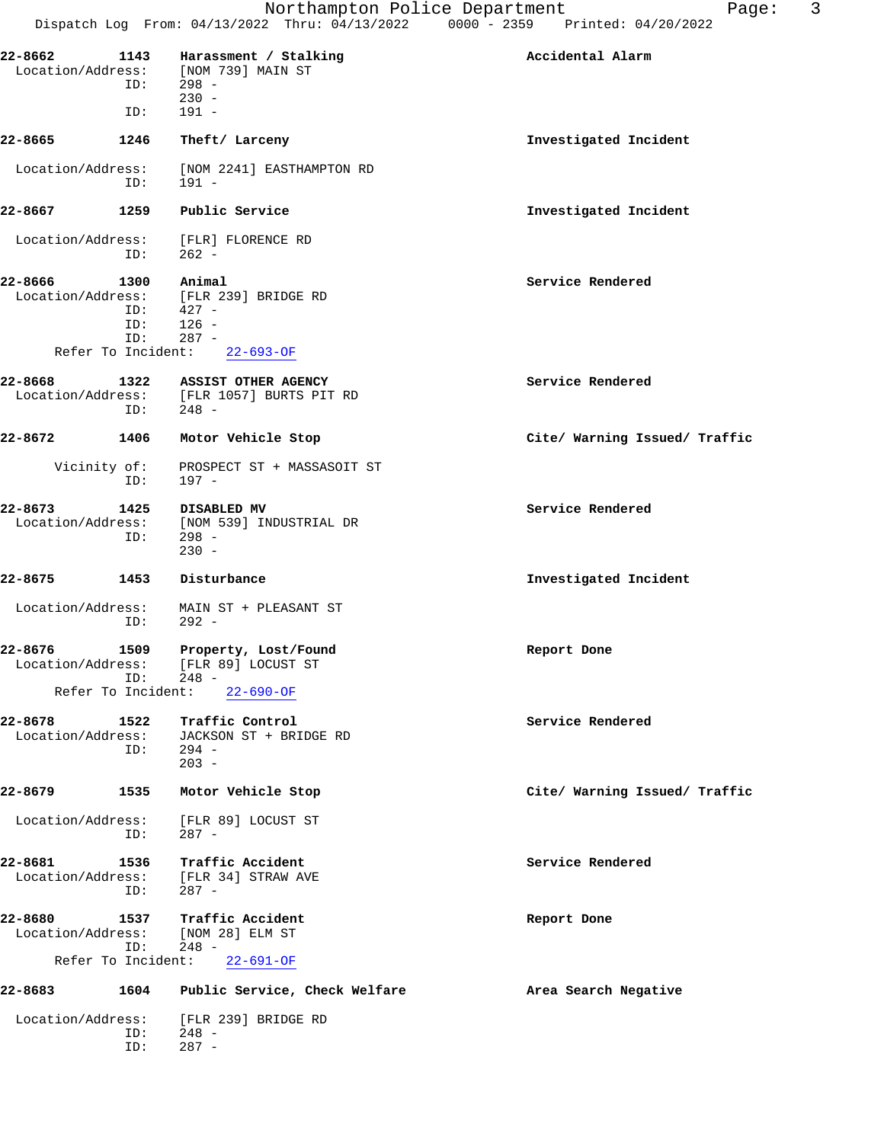| 22-8662                      |             | 1143 Harassment / Stalking                                                       | Accidental Alarm              |
|------------------------------|-------------|----------------------------------------------------------------------------------|-------------------------------|
|                              | $ID: 298 -$ | Location/Address: [NOM 739] MAIN ST                                              |                               |
|                              | ID:         | $230 -$<br>191 -                                                                 |                               |
| 22-8665                      | 1246        | Theft/ Larceny                                                                   | Investigated Incident         |
| Location/Address:            | ID:         | [NOM 2241] EASTHAMPTON RD<br>191 -                                               |                               |
| 22-8667                      | 1259        | Public Service                                                                   | Investigated Incident         |
| Location/Address:            | ID:         | [FLR] FLORENCE RD<br>$262 -$                                                     |                               |
| 22-8666                      | 1300        | Animal                                                                           | Service Rendered              |
|                              |             | Location/Address: [FLR 239] BRIDGE RD                                            |                               |
|                              | ID:<br>ID:  | $427 -$<br>$126 -$                                                               |                               |
|                              | ID:         | $287 -$                                                                          |                               |
| Refer To Incident:           |             | $22 - 693 - 0F$                                                                  |                               |
| 22-8668                      | ID:         | 1322 ASSIST OTHER AGENCY<br>Location/Address: [FLR 1057] BURTS PIT RD<br>$248 -$ | Service Rendered              |
| 22-8672                      | 1406        | Motor Vehicle Stop                                                               | Cite/ Warning Issued/ Traffic |
| Vicinity of:                 | ID:         | PROSPECT ST + MASSASOIT ST<br>197 -                                              |                               |
| 22-8673                      |             | 1425 DISABLED MV                                                                 | Service Rendered              |
|                              |             | Location/Address: [NOM 539] INDUSTRIAL DR                                        |                               |
|                              | ID:         | 298 -<br>$230 -$                                                                 |                               |
| 22-8675                      | 1453        | Disturbance                                                                      | Investigated Incident         |
| Location/Address:            | ID:         | MAIN ST + PLEASANT ST<br>- 292                                                   |                               |
| 22-8676                      | ID:         | 1509 Property, Lost/Found<br>Location/Address: [FLR 89] LOCUST ST<br>248 -       | Report Done                   |
| Refer To Incident:           |             | $22 - 690 - OF$                                                                  |                               |
| 22-8678                      | 1522        | Traffic Control                                                                  | Service Rendered              |
| Location/Address:            |             | JACKSON ST + BRIDGE RD                                                           |                               |
|                              | ID:         | $294 -$<br>$203 -$                                                               |                               |
| 22-8679                      | 1535        | Motor Vehicle Stop                                                               | Cite/ Warning Issued/ Traffic |
| Location/Address:            | ID:         | [FLR 89] LOCUST ST<br>$287 -$                                                    |                               |
| 22-8681                      | 1536        | Traffic Accident                                                                 | Service Rendered              |
| Location/Address:            | ID:         | [FLR 34] STRAW AVE<br>287 -                                                      |                               |
| 22-8680<br>Location/Address: | 1537        | Traffic Accident<br>[NOM 28] ELM ST                                              | Report Done                   |
| Refer To Incident:           | ID:         | $248 -$<br>$22 - 691 - OF$                                                       |                               |
| 22-8683                      | 1604        | Public Service, Check Welfare                                                    | Area Search Negative          |
| Location/Address:            | ID:         | [FLR 239] BRIDGE RD<br>$248 -$                                                   |                               |
|                              | ID:         | $287 -$                                                                          |                               |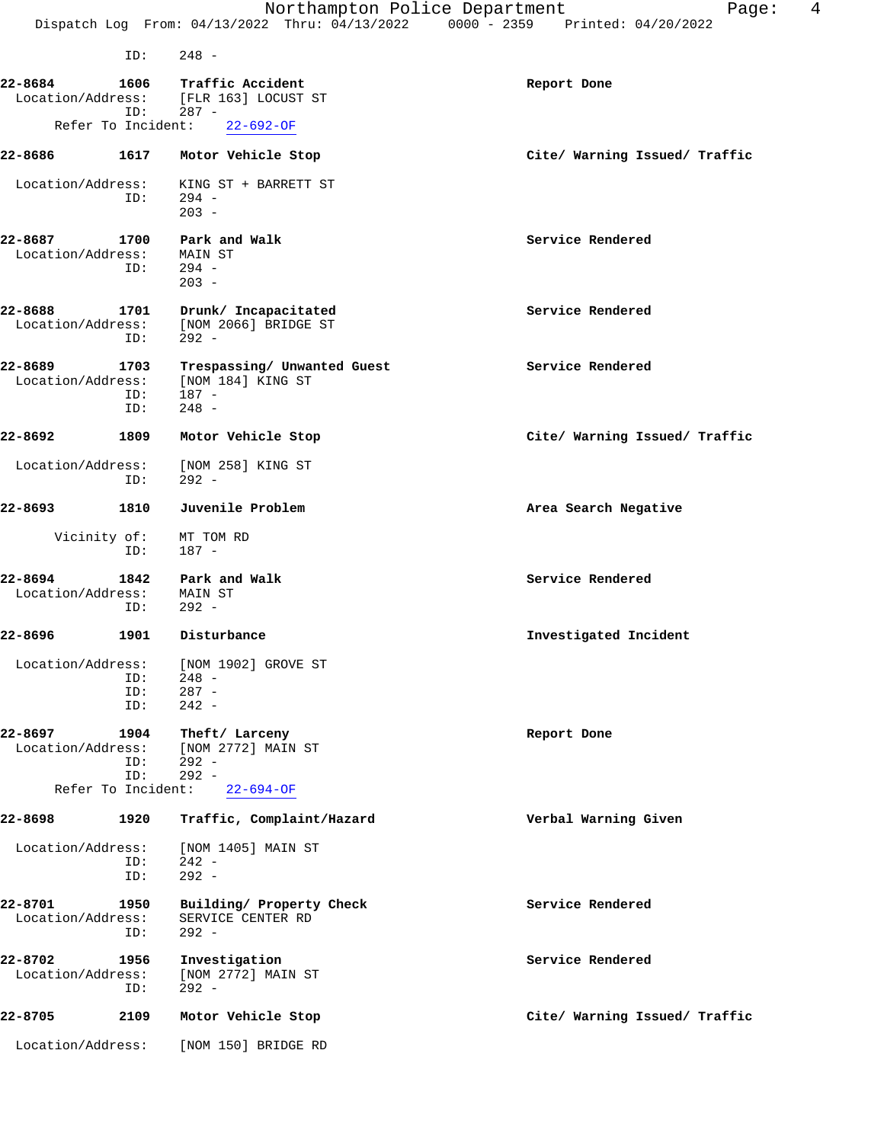Northampton Police Department Page: 4 Dispatch Log From: 04/13/2022 Thru: 04/13/2022 0000 - 2359 Printed: 04/20/2022 ID: 248 - **22-8684 1606 Traffic Accident Report Done** Location/Address: [FLR 163] LOCUST ST ddress: [FLR 163] LOCUS<br>ID: 287 -<br>To Incident: 22-692-OF Refer To Incident: **22-8686 1617 Motor Vehicle Stop Cite/ Warning Issued/ Traffic** Location/Address: KING ST + BARRETT ST<br>ID: 294 - $ID:$  $203 -$ **22-8687 1700 Park and Walk Service Rendered** Location/Address: MAIN ST ID: 294 -  $203 -$ **22-8688 1701 Drunk/ Incapacitated Service Rendered** Location/Address: [NOM 2066] BRIDGE ST ID: 292 - **22-8689 1703 Trespassing/ Unwanted Guest Service Rendered** Location/Address: [NOM 184] KING ST ID: 187 - ID: 248 - **22-8692 1809 Motor Vehicle Stop Cite/ Warning Issued/ Traffic** Location/Address: [NOM 258] KING ST<br>ID: 292 - ID: 292 - **22-8693 1810 Juvenile Problem Area Search Negative** Vicinity of: MT TOM RD ID: 187 - **22-8694 1842 Park and Walk Service Rendered** Location/Address: MAIN ST ID: 292 - **22-8696 1901 Disturbance Investigated Incident** Location/Address: [NOM 1902] GROVE ST<br>ID: 248 - ID: 248 - ID: 287 - ID: 242 - **22-8697 1904 Theft/Larceny Report Done**<br>
Location/Address: [NOM 2772] MAIN ST [NOM 2772] MAIN ST ID: 292 - ID: 292 - Refer To Incident: 22-694-OF **22-8698 1920 Traffic, Complaint/Hazard Verbal Warning Given** Location/Address: [NOM 1405] MAIN ST ID: 242 -<br>ID: 292 - $292 -$ **22-8701 1950 Building/ Property Check Service Rendered** Location/Address: SERVICE CENTER RD ID: 292 - **22-8702** 1956 Investigation **Service Rendered** Service Rendered Location/Address: [NOM 2772] MAIN ST [NOM 2772] MAIN ST

**22-8705 2109 Motor Vehicle Stop Cite/ Warning Issued/ Traffic** Location/Address: [NOM 150] BRIDGE RD

ID: 292 -